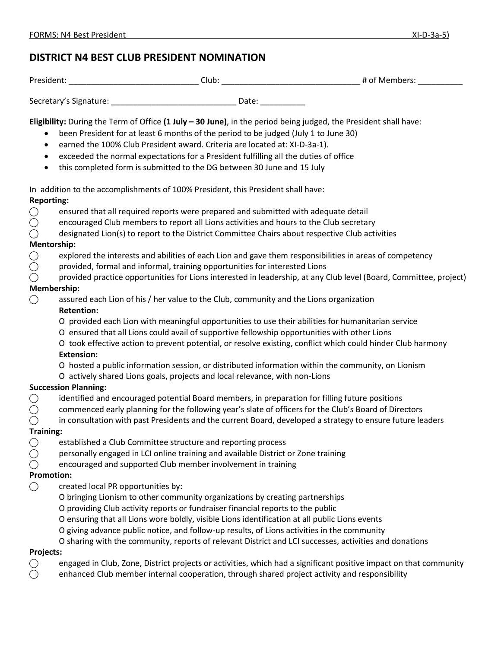# **DISTRICT N4 BEST CLUB PRESIDENT NOMINATION**

| Drawc | - 1<br>Jub'<br>__<br>___ | $\sim$ |
|-------|--------------------------|--------|
|       |                          |        |

Secretary's Signature: \_\_\_\_\_\_\_\_\_\_\_\_\_\_\_\_\_\_\_\_\_\_\_\_\_\_\_\_ Date: \_\_\_\_\_\_\_\_\_\_

**Eligibility:** During the Term of Office **(1 July – 30 June)**, in the period being judged, the President shall have:

- been President for at least 6 months of the period to be judged (July 1 to June 30)
- earned the 100% Club President award. Criteria are located at: XI-D-3a-1).
- exceeded the normal expectations for a President fulfilling all the duties of office
- this completed form is submitted to the DG between 30 June and 15 July

In addition to the accomplishments of 100% President, this President shall have: **Reporting:**

- $\bigcirc$  ensured that all required reports were prepared and submitted with adequate detail
- $\bigcap$  encouraged Club members to report all Lions activities and hours to the Club secretary
- $\bigcirc$  designated Lion(s) to report to the District Committee Chairs about respective Club activities

#### **Mentorship:**

- **⃝** explored the interests and abilities of each Lion and gave them responsibilities in areas of competency
- $\bigcirc$  provided, formal and informal, training opportunities for interested Lions
- **⃝** provided practice opportunities for Lions interested in leadership, at any Club level (Board, Committee, project)

### **Membership:**

- ⃝ assured each Lion of his / her value to the Club, community and the Lions organization **Retention:**
	- Ο provided each Lion with meaningful opportunities to use their abilities for humanitarian service
	- Ο ensured that all Lions could avail of supportive fellowship opportunities with other Lions
	- Ο took effective action to prevent potential, or resolve existing, conflict which could hinder Club harmony **Extension:**
	- Ο hosted a public information session, or distributed information within the community, on Lionism
	- Ο actively shared Lions goals, projects and local relevance, with non-Lions

#### **Succession Planning:**

- **⃝** identified and encouraged potential Board members, in preparation for filling future positions
- ⃝ commenced early planning for the following year's slate of officers for the Club's Board of Directors
- **⃝** in consultation with past Presidents and the current Board, developed a strategy to ensure future leaders

#### **Training:**

- 
- ◯ established a Club Committee structure and reporting process<br>◯ personally engaged in LCI online training and available District ⃝ personally engaged in LCI online training and available District or Zone training
- $\bigcap$  encouraged and supported Club member involvement in training

#### **Promotion:**

- ⃝ created local PR opportunities by:
	- Ο bringing Lionism to other community organizations by creating partnerships
	- Ο providing Club activity reports or fundraiser financial reports to the public
	- Ο ensuring that all Lions wore boldly, visible Lions identification at all public Lions events
	- Ο giving advance public notice, and follow-up results, of Lions activities in the community
	- Ο sharing with the community, reports of relevant District and LCI successes, activities and donations

## **Projects:**

- engaged in Club, Zone, District projects or activities, which had a significant positive impact on that community
- enhanced Club member internal cooperation, through shared project activity and responsibility